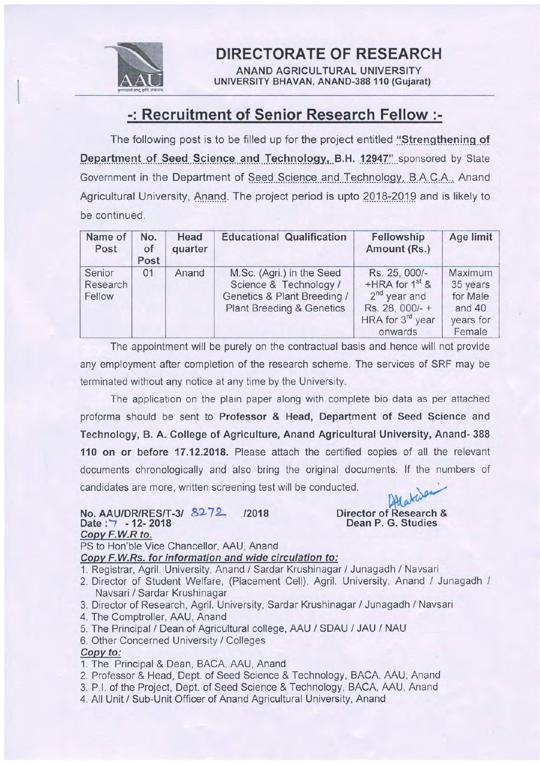

DIRECTORATE OF RESEARCH

ANAND AGRICULTURAL UNIVERSITY UNIVERSITY BHAVAN, ANAND-388 110 (Gujarat)

## -: Recruitment of Senior Research Fellow :-

The following post is to be filled up for the project entitled "Strengthening of Department of Seed Science and Technology, B.H. 12947" sponsored by State Government in the Department of Seed Science and Technology, B.A.C.A., Anand. Agricultural University, Anand. The project period is upto 2018-2019 and is likely to be continued.

| Name of<br>Post              | No.<br>of<br>Post | Head<br>quarter | <b>Educational Qualification</b>                                                                                           | Fellowship<br>Amount (Rs.)                                                                                          | Age limit                                                        |
|------------------------------|-------------------|-----------------|----------------------------------------------------------------------------------------------------------------------------|---------------------------------------------------------------------------------------------------------------------|------------------------------------------------------------------|
| Senior<br>Research<br>Fellow | 01                | Anand           | M.Sc. (Agri.) in the Seed<br>Science & Technology /<br>Genetics & Plant Breeding /<br><b>Plant Breeding &amp; Genetics</b> | Rs. 25, 000/-<br>$+HRA$ for $1st$ &<br>$2nd$ year and<br>Rs. 28, 000/- +<br>HRA for 3 <sup>rd</sup> year<br>onwards | Maximum<br>35 years<br>for Male<br>and 40<br>years for<br>Female |

The appointment will be purely on the contractual basis and hence will not provide any employment after completion of the research scheme. The services of SRF may be terminated without any notice at any time by the University.

The application on the plain paper along with complete bio data as per attached proforma should be sent to Professor & Head, Department of Seed Science and Technology, B. A. Gollege of Agriculture, Anand Agricultural University, Anand- 388 110 on or before 17.12.2018. Please attach the certified copies of all the relevant documents chronologically and also bring the original documents. lf the numbers of candidates are more, written screening test will be conducted.

#### No. AAU/DR/RES/T-3/ 8272 /2018 Date : 7 - 12- 2018 Copv F.W.R to. PS to Hon'ble Vice Chancellor, AAU, Anand

#### Atlata Director of Research & Dean P. G. Studies

Copv F.W.Rs. for information and wide circulation to:

- 1. Registrar, Agril. University, Anand / Sardar Krushinagar / Junagadh / Navsari
- 2. Director of Student Welfare, (Placement Cell), Agril. University, Anand / Junagadh / Navsari / Sardar Krushinagar
- 3. Director of Research, Agril. University, Sardar Krushinagar / Junagadh / Navsari
- 4. The Comptroller, AAU, Anand
- 5. The Principal / Dean of Agricultural college, AAU / SDAU / JAU / NAU
- 6. Other Concerned University / Colleges

### Copv to:

- 1. The Principal & Dean, BACA, AAU, Anand
- 2. Professor & Head, Dept. of Seed Science & Technology, BACA, AAU, Anand
- 3. P.l. of the Project, Dept. of Seed Science & Technology, BACA, AAU, Anand
- 4. All Unit / Sub-Unit Officer of Anand Agricultural University, Anand